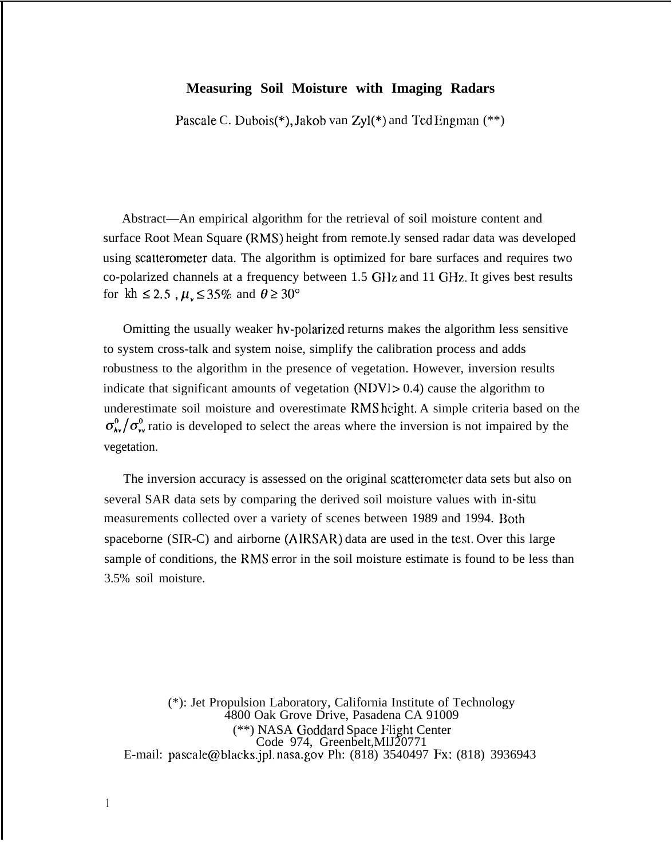# **Measuring Soil Moisture with Imaging Radars**

Pascale C. Dubois(\*), Jakob van Zyl(\*) and Ted Engman (\*\*)

Abstract—An empirical algorithm for the retrieval of soil moisture content and surface Root Mean Square (RMS) height from remote.ly sensed radar data was developed using scatterorneter data. The algorithm is optimized for bare surfaces and requires two co-polarized channels at a frequency between 1.5 G1lz and 11 GHz. It gives best results for  $kh \leq 2.5$ ,  $\mu_{v} \leq 35\%$  and  $\theta \geq 30^{\circ}$ 

Omitting the usually weaker hv-polarized returns makes the algorithm less sensitive to system cross-talk and system noise, simplify the calibration process and adds robustness to the algorithm in the presence of vegetation. However, inversion results indicate that significant amounts of vegetation  $(NDVJ > 0.4)$  cause the algorithm to underestimate soil moisture and overestimate RMS height. A simple criteria based on the  $\sigma_{\bf k}^0/\sigma_{\bf w}^0$  ratio is developed to select the areas where the inversion is not impaired by the vegetation.

The inversion accuracy is assessed on the original scatterometer data sets but also on several SAR data sets by comparing the derived soil moisture values with *in-situ* measurements collected over a variety of scenes between 1989 and 1994. Both spaceborne (SIR-C) and airborne (AIRSAR) data are used in the test. Over this large sample of conditions, the RMS error in the soil moisture estimate is found to be less than 3.5% soil moisture.

(\*): Jet Propulsion Laboratory, California Institute of Technology 4800 Oak Grove Drive, Pasadena CA 91009 (\*\*) NASA Goddard Space Flight Center Code 974, Greenbelt,MlJ20771 E-mail: pascale@blacks.jpl, nasa.gov Ph: (818) 3540497 Fx: (818) 3936943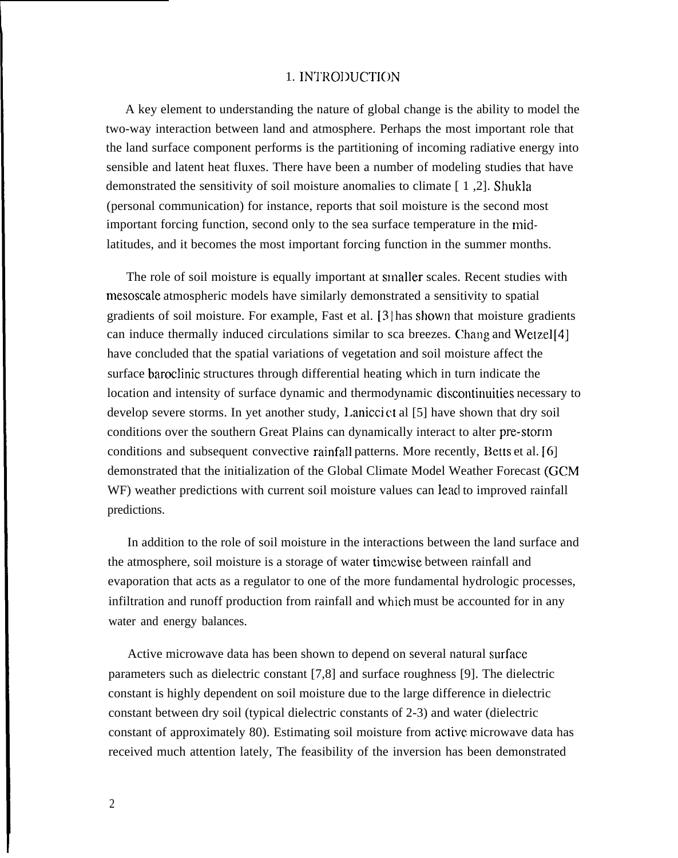## 1. INTRODUCTION

A key element to understanding the nature of global change is the ability to model the two-way interaction between land and atmosphere. Perhaps the most important role that the land surface component performs is the partitioning of incoming radiative energy into sensible and latent heat fluxes. There have been a number of modeling studies that have demonstrated the sensitivity of soil moisture anomalies to climate [ 1 ,2]. Shukla (personal communication) for instance, reports that soil moisture is the second most important forcing function, second only to the sea surface temperature in the midlatitudes, and it becomes the most important forcing function in the summer months.

The role of soil moisture is equally important at smaller scales. Recent studies with mesoscale atmospheric models have similarly demonstrated a sensitivity to spatial gradients of soil moisture. For example, Fast et al.  $[3]$  has shown that moisture gradients can induce thermally induced circulations similar to sca breezes. Chang and Wetzel [4] have concluded that the spatial variations of vegetation and soil moisture affect the surface baroclinic structures through differential heating which in turn indicate the location and intensity of surface dynamic and thermodynamic discontinuities necessary to develop severe storms. In yet another study, Lanicci ct al [5] have shown that dry soil conditions over the southern Great Plains can dynamically interact to alter pre-storm conditions and subsequent convective rainfall patterns. More recently, Betts et al. [6] demonstrated that the initialization of the Global Climate Model Weather Forecast (GCM WF) weather predictions with current soil moisture values can lead to improved rainfall predictions.

In addition to the role of soil moisture in the interactions between the land surface and the atmosphere, soil moisture is a storage of water timewise between rainfall and evaporation that acts as a regulator to one of the more fundamental hydrologic processes, infiltration and runoff production from rainfall and which must be accounted for in any water and energy balances.

Active microwave data has been shown to depend on several natural surface parameters such as dielectric constant [7,8] and surface roughness [9]. The dielectric constant is highly dependent on soil moisture due to the large difference in dielectric constant between dry soil (typical dielectric constants of 2-3) and water (dielectric constant of approximately 80). Estimating soil moisture from active microwave data has received much attention lately, The feasibility of the inversion has been demonstrated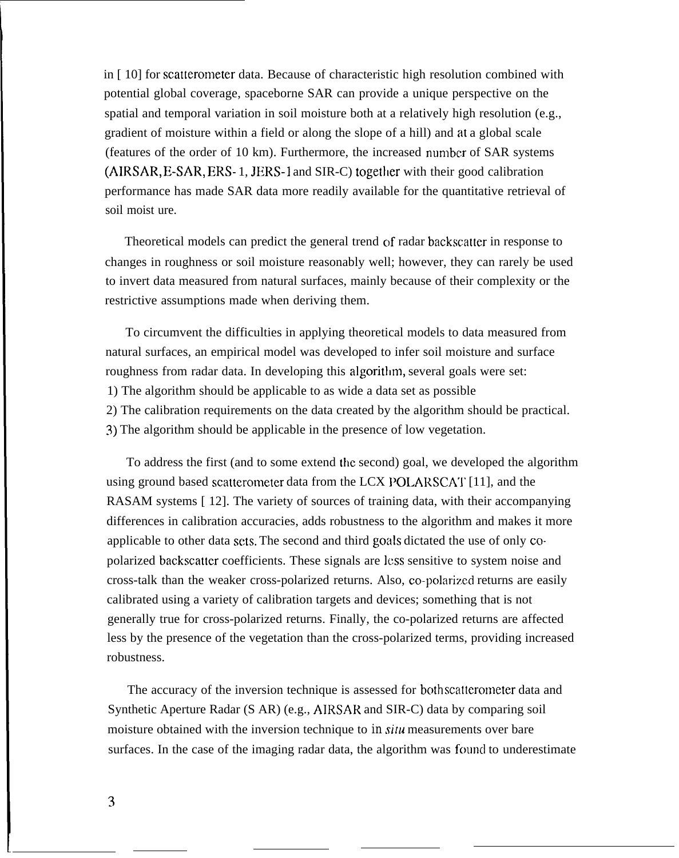in [ 10] for scatterometer data. Because of characteristic high resolution combined with potential global coverage, spaceborne SAR can provide a unique perspective on the spatial and temporal variation in soil moisture both at a relatively high resolution (e.g., gradient of moisture within a field or along the slope of a hill) and at a global scale (features of the order of 10 km). Furthermore, the increased number of SAR systems (AIRSAR, E-SAR, ERS- 1, JERS-1 and SIR-C) togetlier with their good calibration performance has made SAR data more readily available for the quantitative retrieval of soil moist ure.

Theoretical models can predict the general trend of radar backscatter in response to changes in roughness or soil moisture reasonably well; however, they can rarely be used to invert data measured from natural surfaces, mainly because of their complexity or the restrictive assumptions made when deriving them.

To circumvent the difficulties in applying theoretical models to data measured from natural surfaces, an empirical model was developed to infer soil moisture and surface roughness from radar data. In developing this algorithm, several goals were set: 1) The algorithm should be applicable to as wide a data set as possible 2) The calibration requirements on the data created by the algorithm should be practical. 3) The algorithm should be applicable in the presence of low vegetation.

To address the first (and to some extend the second) goal, we developed the algorithm using ground based scatterometer data from the LCX POLARSCAT [11], and the RASAM systems [12]. The variety of sources of training data, with their accompanying differences in calibration accuracies, adds robustness to the algorithm and makes it more applicable to other data sets. The second and third goals dictated the use of only copolarized backscatter coefficients. These signals are ICSS sensitive to system noise and cross-talk than the weaker cross-polarized returns. Also, co-polarized returns are easily calibrated using a variety of calibration targets and devices; something that is not generally true for cross-polarized returns. Finally, the co-polarized returns are affected less by the presence of the vegetation than the cross-polarized terms, providing increased robustness.

The accuracy of the inversion technique is assessed for both scatterometer data and Synthetic Aperture Radar (S AR) (e.g., AIRSAR and SIR-C) data by comparing soil moisture obtained with the inversion technique to *in situ* measurements over bare surfaces. In the case of the imaging radar data, the algorithm was found to underestimate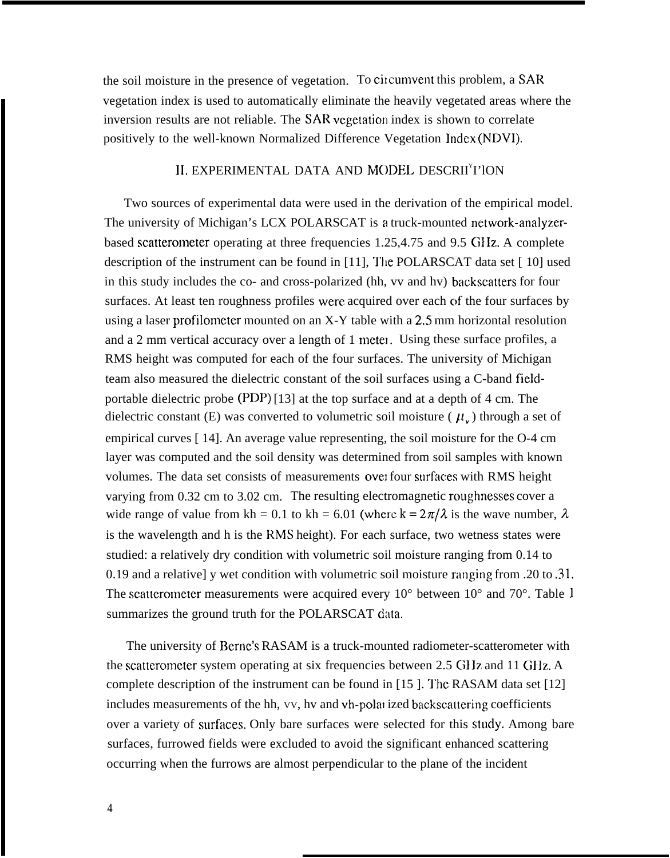the soil moisture in the presence of vegetation. To circumvent this problem, a SAR vegetation index is used to automatically eliminate the heavily vegetated areas where the inversion results are not reliable. The SAR vegetation index is shown to correlate positively to the well-known Normalized Difference Vegetation Index (NDVI).

### II, EXPERIMENTAL DATA AND MODEL DESCRII<sup>Y</sup>I'lON

Two sources of experimental data were used in the derivation of the empirical model. The university of Michigan's LCX POLARSCAT is a truck-mounted network-analyzerbased scatterometer operating at three frequencies 1.25,4.75 and 9.5 GIIz. A complete description of the instrument can be found in  $[11]$ , The POLARSCAT data set  $[10]$  used in this study includes the co- and cross-polarized (hh, vv and hv) backscatters for four surfaces. At least ten roughness profiles were acquired over each of the four surfaces by using a laser profilometer mounted on an X-Y table with a 2,5 mm horizontal resolution and a  $2 \text{ mm}$  vertical accuracy over a length of  $1 \text{ meter}$ . Using these surface profiles, a RMS height was computed for each of the four surfaces. The university of Michigan team also measured the dielectric constant of the soil surfaces using a C-band fieldportable dielectric probe (PDP) [13] at the top surface and at a depth of 4 cm. The dielectric constant (E) was converted to volumetric soil moisture ( $\mu_{\nu}$ ) through a set of empirical curves [ 14]. An average value representing, the soil moisture for the O-4 cm layer was computed and the soil density was determined from soil samples with known volumes. The data set consists of measurements over four surfaces with RMS height varying from 0.32 cm to 3.02 cm. The resulting electromagnetic roughnesses cover a wide range of value from kh = 0.1 to kh = 6.01 (where  $k = 2\pi/\lambda$  is the wave number,  $\lambda$ is the wavelength and h is the RMS height). For each surface, two wetness states were studied: a relatively dry condition with volumetric soil moisture ranging from 0.14 to 0.19 and a relative] y wet condition with volumetric soil moisture ranging from .20 to .31. The scatterometer measurements were acquired every  $10^{\circ}$  between  $10^{\circ}$  and  $70^{\circ}$ . Table 1 summarizes the ground truth for the POLARSCAT data.

The university of Berne's RASAM is a truck-mounted radiometer-scatterometer with the scatterometer system operating at six frequencies between 2.5 GHz and 11 GHz. A complete description of the instrument can be found in  $[15]$ . The RASAM data set  $[12]$ includes measurements of the hh, vv, hv and vh-polarized backscattering coefficients over a variety of surfaces. Only bare surfaces were selected for this study. Among bare surfaces, furrowed fields were excluded to avoid the significant enhanced scattering occurring when the furrows are almost perpendicular to the plane of the incident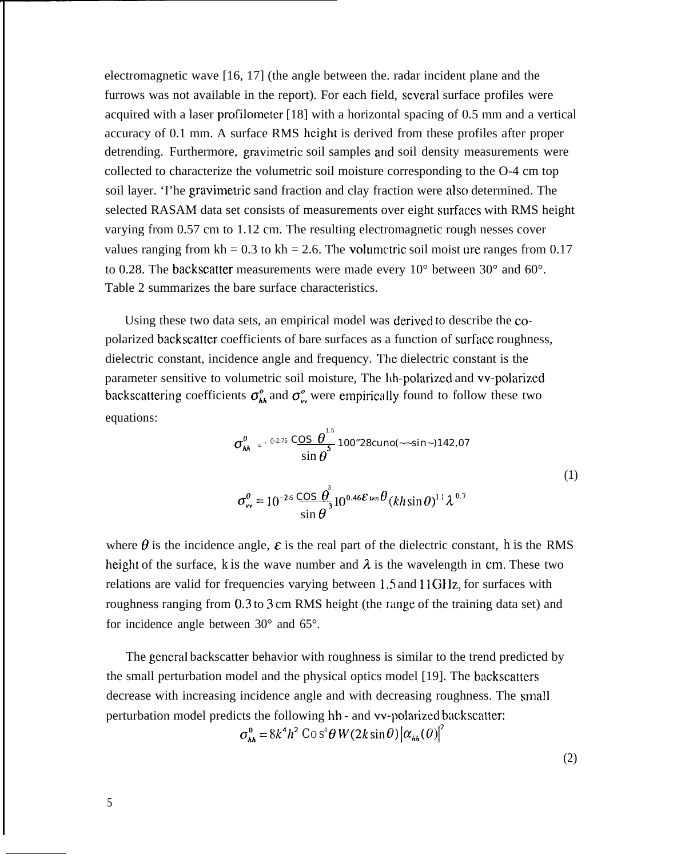electromagnetic wave [16, 17] (the angle between the. radar incident plane and the furrows was not available in the report). For each field, several surface profiles were acquired with a laser profilometer [18] with a horizontal spacing of 0.5 mm and a vertical accuracy of 0.1 mm. A surface RMS height is derived from these profiles after proper detrending. Furthermore, gravimetric soil samples and soil density measurements were collected to characterize the volumetric soil moisture corresponding to the O-4 cm top soil layer. 'I'he gravimetric sand fraction and clay fraction were also determined. The selected RASAM data set consists of measurements over eight surfaces with RMS height varying from 0.57 cm to 1.12 cm. The resulting electromagnetic rough nesses cover values ranging from kh = 0.3 to kh = 2.6. The volumetric soil moist ure ranges from 0.17 to 0.28. The backscatter measurements were made every 10° between 30° and 60°. Table 2 summarizes the bare surface characteristics.

Using these two data sets, an empirical model was derived to describe the copolarized backscatter coefficients of bare surfaces as a function of surface roughness, dielectric constant, incidence angle and frequency. The dielectric constant is the parameter sensitive to volumetric soil moisture, The hh-polarized and vv-polarized backscattering coefficients  $\sigma_{hh}^{\circ}$  and  $\sigma_{vv}^{\circ}$  were empirically found to follow these two equations:

$$
\sigma_{hh}^0 = \frac{0.275 \text{ COS } \theta^{-5}}{\sin \theta^{5}} 100^{\circ} 28 \text{cuno} (-\sin \theta) 142.07
$$
  

$$
\sigma_{vv}^0 = 10^{-2.5} \frac{\text{COS } \theta^{3}}{\sin \theta^{3}} 10^{0.46 \mathcal{E} \tan \theta} (kh \sin \theta)^{1.1} \lambda^{0.7}
$$
 (1)

where  $\theta$  is the incidence angle,  $\varepsilon$  is the real part of the dielectric constant, *h* is the RMS height of the surface, *k* is the wave number and  $\lambda$  is the wavelength in cm. These two relations are valid for frequencies varying between 1.5 and 11 GIIz, for surfaces with roughness ranging from 0.3 to 3 cm RMS height (the range of the training data set) and for incidence angle between 30° and 65°.

The general backscatter behavior with roughness is similar to the trend predicted by the small perturbation model and the physical optics model [19]. The backscatters decrease with increasing incidence angle and with decreasing roughness. The small perturbation model predicts the following hh - and vv-polarized backscatter:  $\sigma_{hh}^0 = 8k^4h^2\cos^4\theta W(2k\sin\theta)\left[\alpha_{hh}(\theta)\right]^2$ 

(2)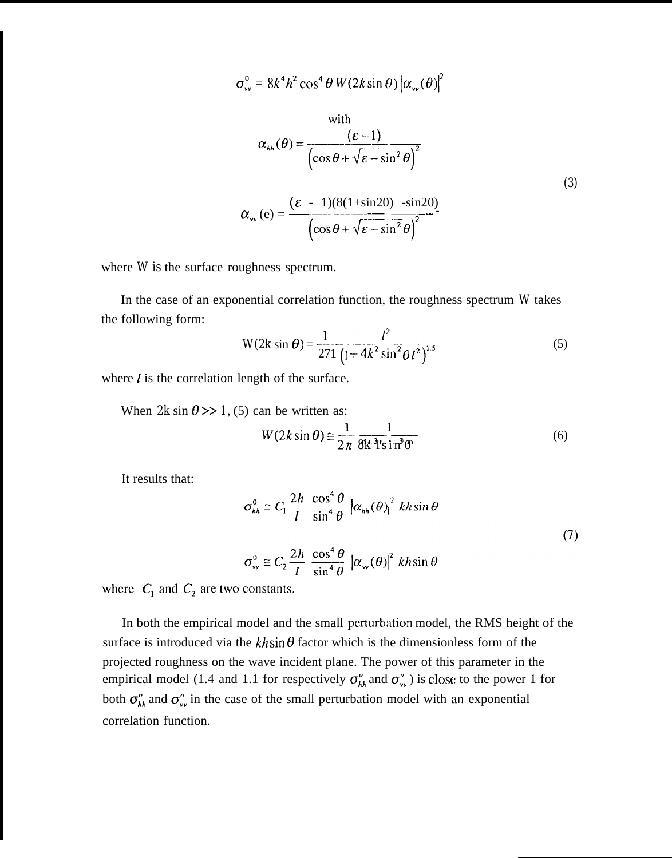$$
\sigma_{vv}^0 = 8k^4h^2\cos^4\theta W(2k\sin\theta)\left|\alpha_{vv}(\theta)\right|^2
$$

with  
\n
$$
\alpha_{hh}(\theta) = \frac{(\varepsilon - 1)}{\left(\cos \theta + \sqrt{\varepsilon - \sin^2 \theta}\right)^2}
$$
\n
$$
\alpha_{vv}(e) = \frac{(\varepsilon - 1)(8(1 + \sin 2\theta) - \sin 2\theta)}{\left(\cos \theta + \sqrt{\varepsilon - \sin^2 \theta}\right)^2}
$$
\n(3)

where *W* is the surface roughness spectrum.

In the case of an exponential correlation function, the roughness spectrum *W* takes the following form:

$$
W(2k \sin \theta) = \frac{1}{271} \frac{l^2}{\left(1 + 4k^2 \sin^2 \theta \, l^2\right)^{1.5}}
$$
 (5)

where  *is the correlation length of the surface.* 

When  $2k \sin \theta >> 1$ , (5) can be written as:

$$
W(2k\sin\theta) \approx \frac{1}{2\pi} \frac{1}{8k^3 \sin^3\theta} \tag{6}
$$

It results that:

$$
\sigma_{hh}^{0} \cong C_{1} \frac{2h}{l} \frac{\cos^{4} \theta}{\sin^{4} \theta} \left| \alpha_{hh}(\theta) \right|^{2} kh \sin \theta
$$
\n
$$
\sigma_{vv}^{0} \cong C_{2} \frac{2h}{l} \frac{\cos^{4} \theta}{\sin^{4} \theta} \left| \alpha_{vv}(\theta) \right|^{2} kh \sin \theta
$$
\n(7)

where  $C_1$  and  $C_2$  are two constants.

In both the empirical model and the small perturbation model, the RMS height of the surface is introduced via the khsin  $\theta$  factor which is the dimensionless form of the projected roughness on the wave incident plane. The power of this parameter in the empirical model (1.4 and 1.1 for respectively  $\sigma_{hh}^{\circ}$  and  $\sigma_{vv}^{\circ}$ ) is close to the power 1 for both  $\sigma_{hk}^{\circ}$  and  $\sigma_{vv}^{\circ}$  in the case of the small perturbation model with an exponential correlation function.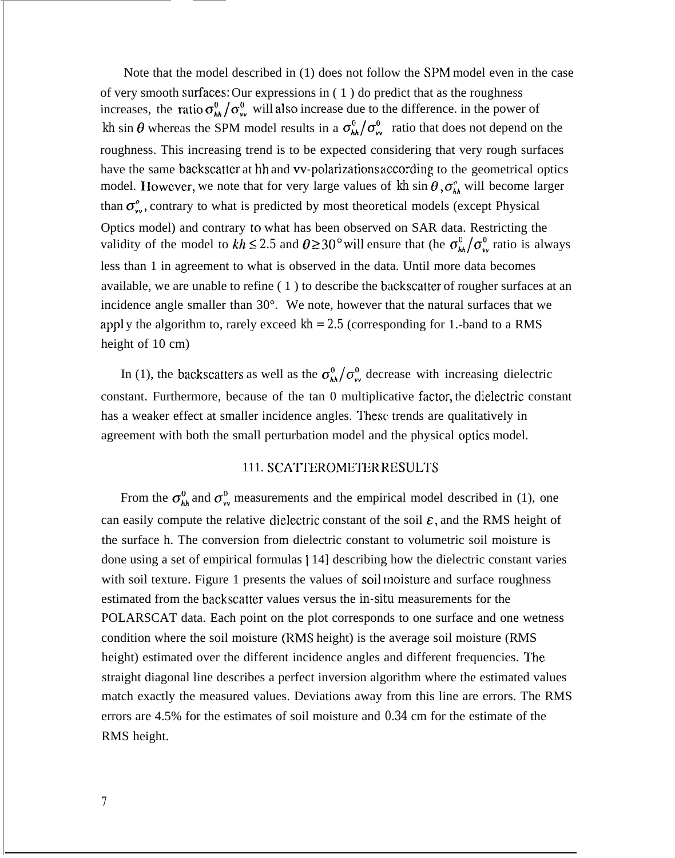Note that the model described in (1) does not follow the SPM model even in the case of very smooth sufidces: Our expressions in ( 1 ) do predict that as the roughness increases, the ratio  $\sigma_{\mu}^{0}/\sigma_{\nu}^{0}$  will also increase due to the difference. in the power of *kh* sin  $\theta$  whereas the SPM model results in a  $\sigma_{hh}^0/\sigma_{vv}^0$  ratio that does not depend on the roughness. This increasing trend is to be expected considering that very rough surfaces have the same backscatter at hh and vv-polarizations according to the geometrical optics model. However, we note that for very large values of  $kh \sin \theta$ ,  $\sigma_{hh}^{\circ}$  will become larger than  $\sigma_{\nu}^{\circ}$ , contrary to what is predicted by most theoretical models (except Physical Optics model) and contrary to what has been observed on SAR data. Restricting the validity of the model to  $kh \leq 2.5$  and  $\theta \geq 30^{\circ}$  will ensure that (he  $\sigma_{kh}^0/\sigma_{v}^0$  ratio is always less than 1 in agreement to what is observed in the data. Until more data becomes available, we are unable to refine ( 1 ) to describe the backscatter of rougher surfaces at an incidence angle smaller than 30°. We note, however that the natural surfaces that we appl y the algorithm to, rarely exceed  $kh = 2.5$  (corresponding for 1.-band to a RMS height of 10 cm)

In (1), the backscatters as well as the  $\sigma_{kk}^0/\sigma_{\nu}^0$  decrease with increasing dielectric constant. Furthermore, because of the tan 0 multiplicative factor, the dielectric constant has a weaker effect at smaller incidence angles. These trends are qualitatively in agreement with both the small perturbation model and the physical optics model.

# 111. SCATTEROMETER RESULTS

From the  $\sigma_{hh}^0$  and  $\sigma_{vv}^0$  measurements and the empirical model described in (1), one can easily compute the relative dielectric constant of the soil  $\varepsilon$ , and the RMS height of the surface h. The conversion from dielectric constant to volumetric soil moisture is done using a set of empirical formulas [ 14] describing how the dielectric constant varies with soil texture. Figure 1 presents the values of soil moisture and surface roughness estimated from the backscatter values versus the *in-situ* measurements for the POLARSCAT data. Each point on the plot corresponds to one surface and one wetness condition where the soil moisture (RMS height) is the average soil moisture (RMS height) estimated over the different incidence angles and different frequencies. The straight diagonal line describes a perfect inversion algorithm where the estimated values match exactly the measured values. Deviations away from this line are errors. The RMS errors are 4.5% for the estimates of soil moisture and *0.34* cm for the estimate of the RMS height.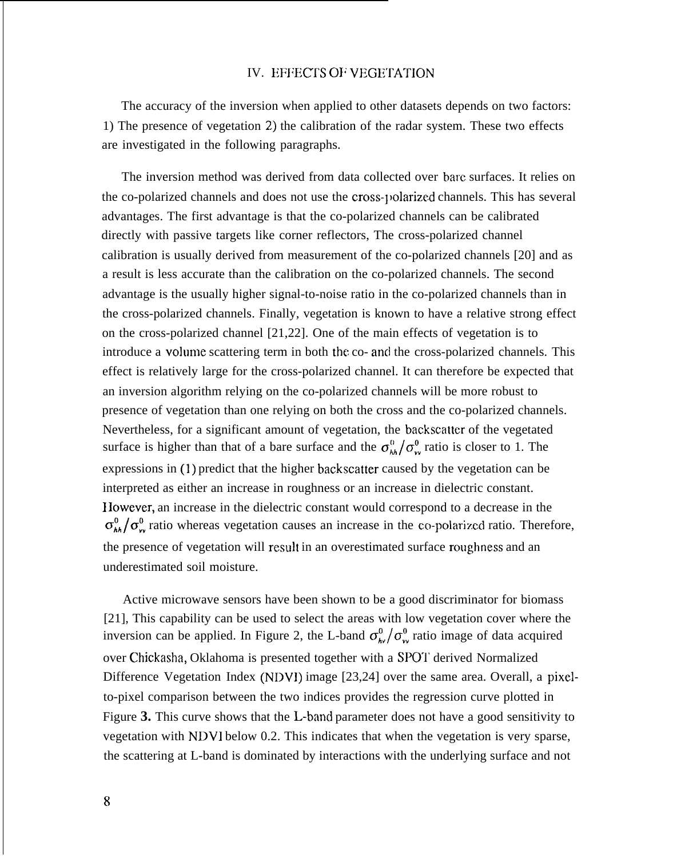## IV. EFFECTS OF VEGETATION

The accuracy of the inversion when applied to other datasets depends on two factors: 1) The presence of vegetation 2) the calibration of the radar system. These two effects are investigated in the following paragraphs.

The inversion method was derived from data collected over bare surfaces. It relies on the co-polarized channels and does not use the cross-volarized channels. This has several advantages. The first advantage is that the co-polarized channels can be calibrated directly with passive targets like corner reflectors, The cross-polarized channel calibration is usually derived from measurement of the co-polarized channels [20] and as a result is less accurate than the calibration on the co-polarized channels. The second advantage is the usually higher signal-to-noise ratio in the co-polarized channels than in the cross-polarized channels. Finally, vegetation is known to have a relative strong effect on the cross-polarized channel [21,22]. One of the main effects of vegetation is to introduce a volume scattering term in both the co- and the cross-polarized channels. This effect is relatively large for the cross-polarized channel. It can therefore be expected that an inversion algorithm relying on the co-polarized channels will be more robust to presence of vegetation than one relying on both the cross and the co-polarized channels. Nevertheless, for a significant amount of vegetation, the backscatter of the vegetated surface is higher than that of a bare surface and the  $\sigma_{hh}^{0}/\sigma_{vv}^{0}$  ratio is closer to 1. The expressions in (1) predict that the higher backscatter caused by the vegetation can be interpreted as either an increase in roughness or an increase in dielectric constant. I lowever, an increase in the dielectric constant would correspond to a decrease in the  $\sigma_{hh}^{0}/\sigma_{v}^{0}$  ratio whereas vegetation causes an increase in the co-polarized ratio. Therefore, the presence of vegetation will result in an overestimated surface roughness and an underestimated soil moisture.

Active microwave sensors have been shown to be a good discriminator for biomass [21], This capability can be used to select the areas with low vegetation cover where the inversion can be applied. In Figure 2, the L-band  $\sigma_{\nu}^0/\sigma_{\nu}^0$  ratio image of data acquired over Chickasha, Oklahoma is presented together with a SPOT derived Normalized Difference Vegetation Index (NDVI) image [23,24] over the same area. Overall, a pixelto-pixel comparison between the two indices provides the regression curve plotted in Figure 3. This curve shows that the L-band parameter does not have a good sensitivity to vegetation with NDV1 below 0.2. This indicates that when the vegetation is very sparse, the scattering at L-band is dominated by interactions with the underlying surface and not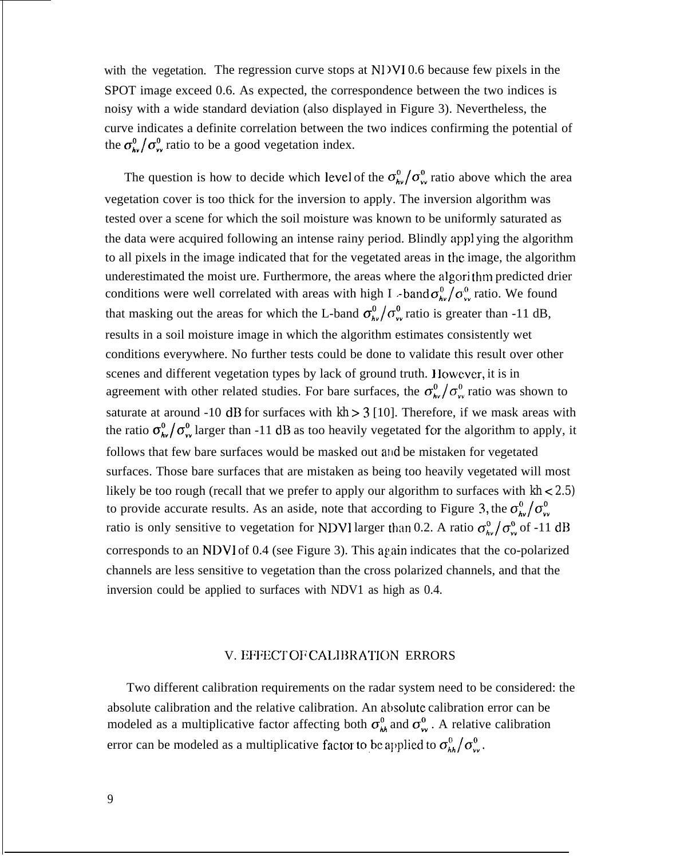with the vegetation. The regression curve stops at NI VI 0.6 because few pixels in the SPOT image exceed 0.6. As expected, the correspondence between the two indices is noisy with a wide standard deviation (also displayed in Figure 3). Nevertheless, the curve indicates a definite correlation between the two indices confirming the potential of the  $\sigma_{\mathbf{v}}^0/\sigma_{\mathbf{v}}^0$  ratio to be a good vegetation index.

The question is how to decide which level of the  $\sigma_{\theta}^0/\sigma_{\theta}^0$  ratio above which the area vegetation cover is too thick for the inversion to apply. The inversion algorithm was tested over a scene for which the soil moisture was known to be uniformly saturated as the data were acquired following an intense rainy period. Blindly app] ying the algorithm to all pixels in the image indicated that for the vegetated areas in the image, the algorithm underestimated the moist ure. Furthermore, the areas where the algori thm predicted drier conditions were well correlated with areas with high I -band  $\sigma_{hv}^0/\sigma_{vv}^0$  ratio. We found that masking out the areas for which the L-band  $\sigma_{\lambda\nu}^0/\sigma_{\nu\nu}^0$  ratio is greater than -11 dB, results in a soil moisture image in which the algorithm estimates consistently wet conditions everywhere. No further tests could be done to validate this result over other scenes and different vegetation types by lack of ground truth. } lowcver, it is in agreement with other related studies. For bare surfaces, the  $\sigma_{\nu}^0/\sigma_{\nu}^0$  ratio was shown to saturate at around -10 dB for surfaces with  $kh > 3$  [10]. Therefore, if we mask areas with the ratio  $\sigma_{\mathbf{k}\nu}^0/\sigma_{\mathbf{v}\nu}^0$  larger than -11 dB as too heavily vegetated for the algorithm to apply, it follows that few bare surfaces would be masked out and be mistaken for vegetated surfaces. Those bare surfaces that are mistaken as being too heavily vegetated will most likely be too rough (recall that we prefer to apply our algorithm to surfaces with *kh < 2.5)* to provide accurate results. As an aside, note that according to Figure 3, the  $\sigma_{\nu\nu}^0/\sigma_{\nu\nu}^0$ ratio is only sensitive to vegetation for NDVI larger than 0.2. A ratio  $\sigma_{av}^{\text{o}}/\sigma_{vx}^{\text{o}}$  of -11 dB corresponds to an NDVI of  $0.4$  (see Figure 3). This again indicates that the co-polarized channels are less sensitive to vegetation than the cross polarized channels, and that the inversion could be applied to surfaces with NDV1 as high as 0.4.

### V. EFFECT OF CALIBRATION ERRORS

Two different calibration requirements on the radar system need to be considered: the absolute calibration and the relative calibration. An absolute calibration error can be modeled as a multiplicative factor affecting both  $\sigma_{hk}^0$  and  $\sigma_{w}^0$ . A relative calibration error can be modeled as a multiplicative factor to be applied to  $\sigma_{hh}^{0}/\sigma_{vv}^{0}$ .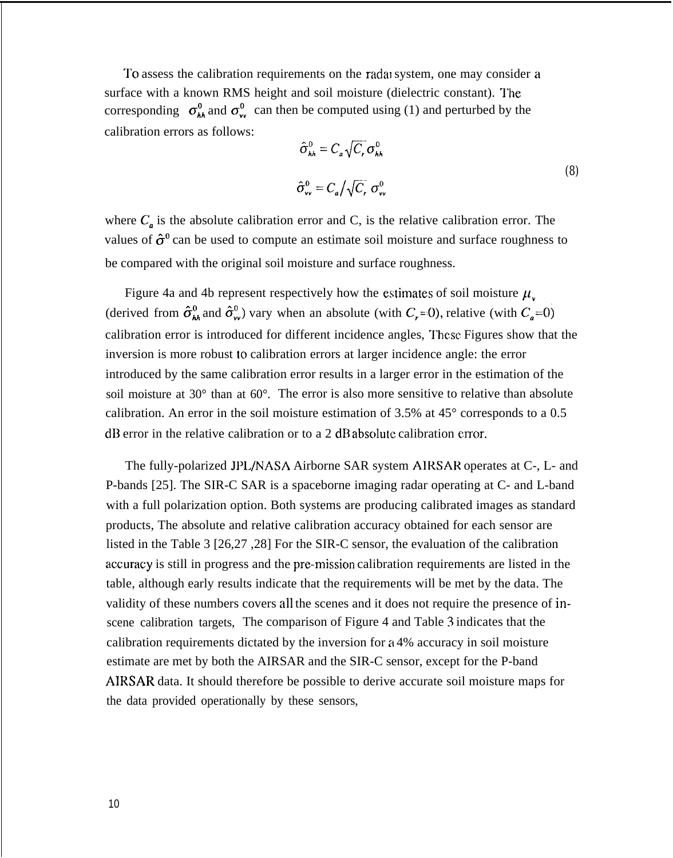To assess the calibration requirements on the radal system, one may consider a surface with a known RMS height and soil moisture (dielectric constant). The corresponding  $\sigma_{kk}^0$  and  $\sigma_{yy}^0$  can then be computed using (1) and perturbed by the calibration errors as follows:

$$
\hat{\sigma}_{hh}^{0} = C_{a} \sqrt{C_{r}} \sigma_{hh}^{0}
$$
\n
$$
\hat{\sigma}_{vv}^{0} = C_{a} / \sqrt{C_{r}} \sigma_{vv}^{0}
$$
\n(8)

where  $C_a$  is the absolute calibration error and C, is the relative calibration error. The values of  $\hat{\sigma}^0$  can be used to compute an estimate soil moisture and surface roughness to be compared with the original soil moisture and surface roughness.

Figure 4a and 4b represent respectively how the estimates of soil moisture  $\mu_{\nu}$ (derived from  $\hat{\sigma}_{hh}^0$  and  $\hat{\sigma}_{vv}^0$ ) vary when an absolute (with  $C_r = 0$ ), relative (with  $C_a = 0$ ) calibration error is introduced for different incidence angles, These Figures show that the inversion is more robust lo calibration errors at larger incidence angle: the error introduced by the same calibration error results in a larger error in the estimation of the soil moisture at 30° than at 60°. The error is also more sensitive to relative than absolute calibration. An error in the soil moisture estimation of 3.5% at  $45^{\circ}$  corresponds to a 0.5 dB error in the relative calibration or to a 2 dB absc)lute calibration error.

The fully-polarized JPL/NASA Airborne SAR system AIRSAR operates at C-, L- and P-bands [25]. The SIR-C SAR is a spaceborne imaging radar operating at C- and L-band with a full polarization option. Both systems are producing calibrated images as standard products, The absolute and relative calibration accuracy obtained for each sensor are listed in the Table 3 [26,27 ,28] For the SIR-C sensor, the evaluation of the calibration accuracy is still in progress and the pre-mission calibration requirements are listed in the table, although early results indicate that the requirements will be met by the data. The validity of these numbers covers all the scenes and it does not require the presence of inscene calibration targets, The comparison of Figure 4 and Table 3 indicates that the calibration requirements dictated by the inversion for a 4% accuracy in soil moisture estimate are met by both the AIRSAR and the SIR-C sensor, except for the P-band AIRSAR data. It should therefore be possible to derive accurate soil moisture maps for the data provided operationally by these sensors,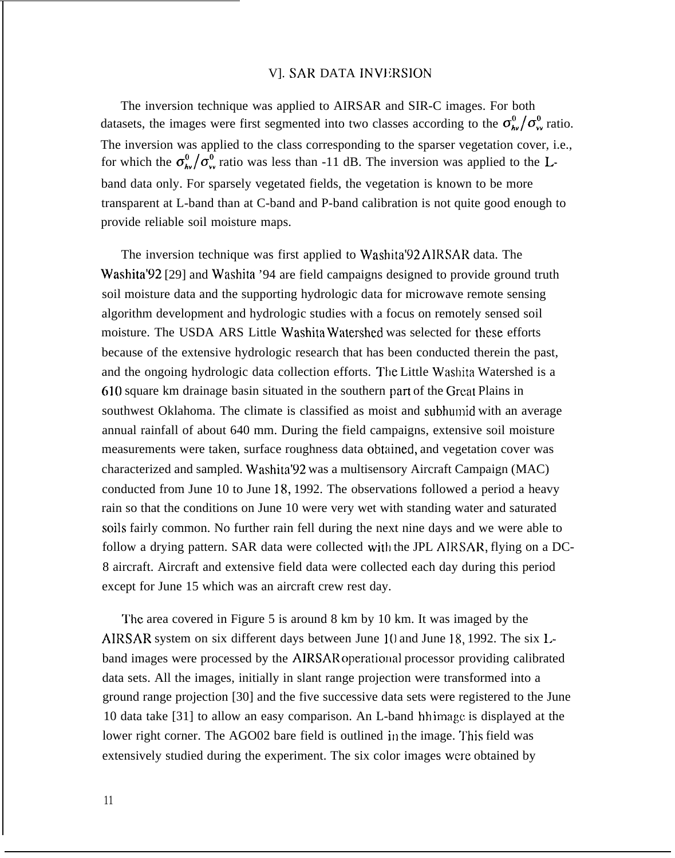### VI. SAR DATA INVERSION

The inversion technique was applied to AIRSAR and SIR-C images. For both datasets, the images were first segmented into two classes according to the  $\sigma_{\mu\nu}^0/\sigma_{\nu\nu}^0$  ratio. The inversion was applied to the class corresponding to the sparser vegetation cover, i.e., for which the  $\sigma_{\theta\nu}^0/\sigma_{\nu}^0$  ratio was less than -11 dB. The inversion was applied to the Lband data only. For sparsely vegetated fields, the vegetation is known to be more transparent at L-band than at C-band and P-band calibration is not quite good enough to provide reliable soil moisture maps.

The inversion technique was first applied to Washita'92 AIRSAR data. The Washita<sup>'92</sup> [29] and Washita '94 are field campaigns designed to provide ground truth soil moisture data and the supporting hydrologic data for microwave remote sensing algorithm development and hydrologic studies with a focus on remotely sensed soil moisture. The USDA ARS Little Washita Watershed was selected for these efforts because of the extensive hydrologic research that has been conducted therein the past, and the ongoing hydrologic data collection efforts. The Little Washita Watershed is a 610 square km drainage basin situated in the southern part of the Great Plains in southwest Oklahoma. The climate is classified as moist and subhumid with an average annual rainfall of about 640 mm. During the field campaigns, extensive soil moisture measurements were taken, surface roughness data obtained, and vegetation cover was characterized and sampled. Washita'92 was a multisensory Aircraft Campaign (MAC) conducted from June 10 to June 18, 1992. The observations followed a period a heavy rain so that the conditions on June 10 were very wet with standing water and saturated soils fairly common. No further rain fell during the next nine days and we were able to follow a drying pattern. SAR data were collected with the JPL AIRSAR, flying on a DC-8 aircraft. Aircraft and extensive field data were collected each day during this period except for June 15 which was an aircraft crew rest day.

The area covered in Figure 5 is around 8 km by 10 km. It was imaged by the AIRSAR system on six different days between June 10 and June 18, 1992. The six Lband images were processed by the AIRSAR operational processor providing calibrated data sets. All the images, initially in slant range projection were transformed into a ground range projection [30] and the five successive data sets were registered to the June 10 data take [31] to allow an easy comparison. An L-band hh irnagc is displayed at the lower right corner. The AGO02 bare field is outlined in the image. This field was extensively studied during the experiment. The six color images were obtained by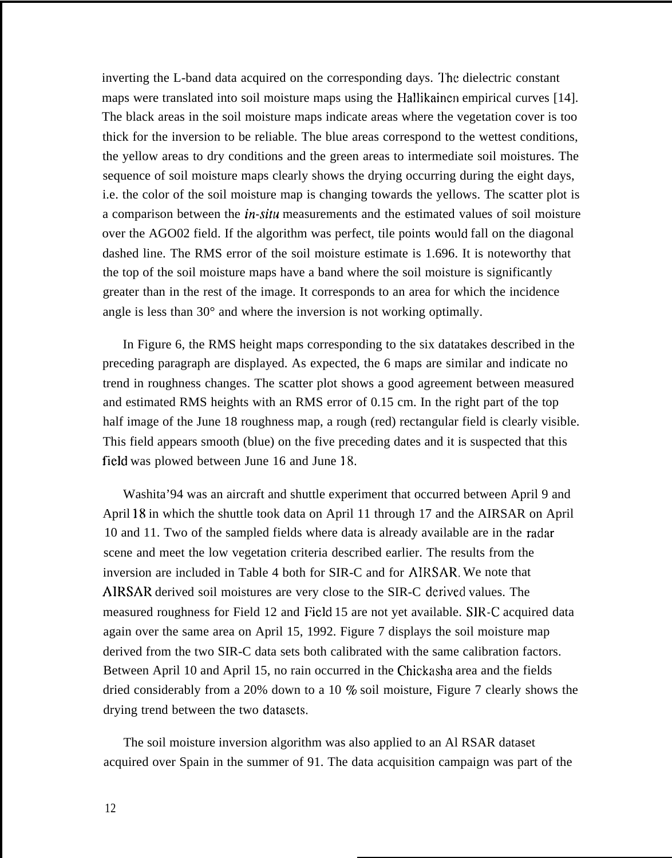inverting the L-band data acquired on the corresponding days. The dielectric constant maps were translated into soil moisture maps using the Hallikainen empirical curves [14]. The black areas in the soil moisture maps indicate areas where the vegetation cover is too thick for the inversion to be reliable. The blue areas correspond to the wettest conditions, the yellow areas to dry conditions and the green areas to intermediate soil moistures. The sequence of soil moisture maps clearly shows the drying occurring during the eight days, i.e. the color of the soil moisture map is changing towards the yellows. The scatter plot is a comparison between the *in-situ* measurements and the estimated values of soil moisture over the AGO02 field. If the algorithm was perfect, tile points would fall on the diagonal dashed line. The RMS error of the soil moisture estimate is 1.696. It is noteworthy that the top of the soil moisture maps have a band where the soil moisture is significantly greater than in the rest of the image. It corresponds to an area for which the incidence angle is less than 30° and where the inversion is not working optimally.

In Figure 6, the RMS height maps corresponding to the six datatakes described in the preceding paragraph are displayed. As expected, the 6 maps are similar and indicate no trend in roughness changes. The scatter plot shows a good agreement between measured and estimated RMS heights with an RMS error of 0.15 cm. In the right part of the top half image of the June 18 roughness map, a rough (red) rectangular field is clearly visible. This field appears smooth (blue) on the five preceding dates and it is suspected that this field was plowed between June 16 and June 18.

Washita'94 was an aircraft and shuttle experiment that occurred between April 9 and April 18 in which the shuttle took data on April 11 through 17 and the AIRSAR on April 10 and 11. Two of the sampled fields where data is already available are in the radar scene and meet the low vegetation criteria described earlier. The results from the inversion are included in Table 4 both for SIR-C and for AIRSAR, We note that AIRSAR derived soil moistures are very close to the SIR-C derived values. The measured roughness for Field 12 and Field 15 are not yet available. SIR-C acquired data again over the same area on April 15, 1992. Figure 7 displays the soil moisture map derived from the two SIR-C data sets both calibrated with the same calibration factors. Between April 10 and April 15, no rain occurred in the Chickasha area and the fields dried considerably from a 20% down to a 10 % soil moisture, Figure 7 clearly shows the drying trend between the two datasets.

The soil moisture inversion algorithm was also applied to an Al RSAR dataset acquired over Spain in the summer of 91. The data acquisition campaign was part of the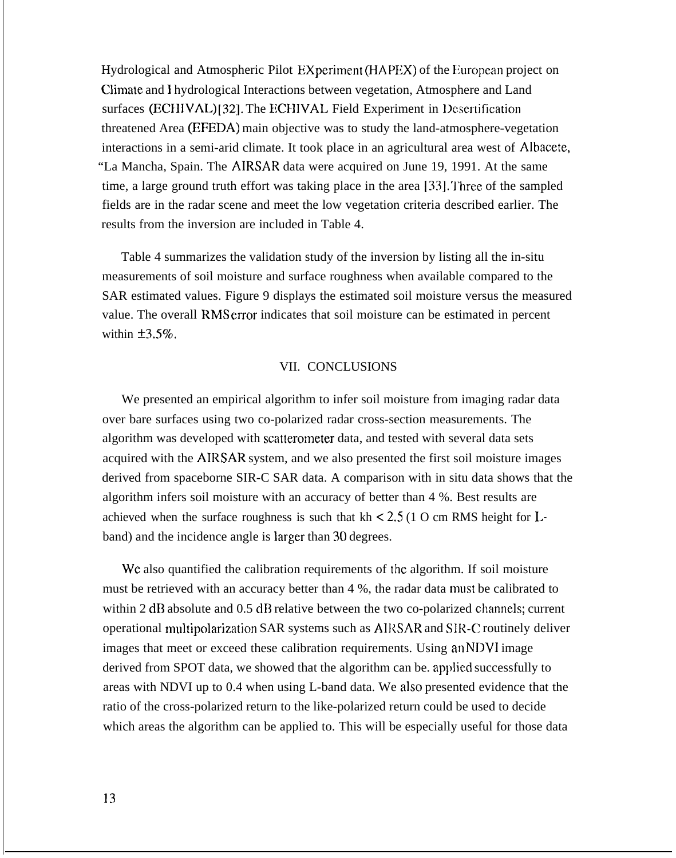Hydrological and Atmospheric Pilot EXperiment (HAPEX) of the European project on Climate and I hydrological Interactions between vegetation, Atmosphere and Land surfaces (ECHIVAL) [32]. The ECHIVAL Field Experiment in Desertification threatened Area (EFEDA) main objective was to study the land-atmosphere-vegetation interactions in a semi-arid climate. It took place in an agricultural area west of Albacete, "La Mancha, Spain. The AIRSAR data were acquired on June 19, 1991. At the same time, a large ground truth effort was taking place in the area [33]. Three of the sampled fields are in the radar scene and meet the low vegetation criteria described earlier. The results from the inversion are included in Table 4.

Table 4 summarizes the validation study of the inversion by listing all the in-situ measurements of soil moisture and surface roughness when available compared to the SAR estimated values. Figure 9 displays the estimated soil moisture versus the measured value. The overall RMS error indicates that soil moisture can be estimated in percent within  $\pm 3.5\%$ .

#### VII. CONCLUSIONS

We presented an empirical algorithm to infer soil moisture from imaging radar data over bare surfaces using two co-polarized radar cross-section measurements. The algorithm was developed with scatterometer data, and tested with several data sets acquired with the AIRSAR system, and we also presented the first soil moisture images derived from spaceborne SIR-C SAR data. A comparison with in situ data shows that the algorithm infers soil moisture with an accuracy of better than 4 %. Best results are achieved when the surface roughness is such that  $kh < 2.5$  (1 O cm RMS height for Lband) and the incidence angle is larger than 30 degrees.

We also quantified the calibration requirements of the algorithm. If soil moisture must be retrieved with an accuracy better than 4 %, the radar data must be calibrated to within 2 dB absolute and 0.5 dB relative between the two co-polarized channels; current operational multipolarization SAR systems such as AIRSAR and SIR-C routinely deliver images that meet or exceed these calibration requirements. Using an NDV1 image derived from SPOT data, we showed that the algorithm can be. applied successfully to areas with NDVI up to 0.4 when using L-band data. We also presented evidence that the ratio of the cross-polarized return to the like-polarized return could be used to decide which areas the algorithm can be applied to. This will be especially useful for those data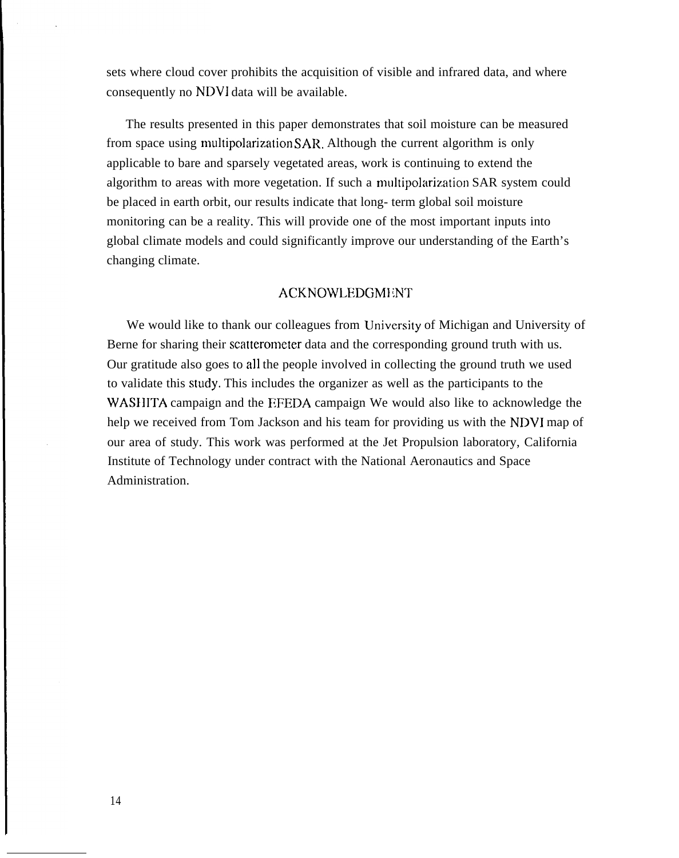sets where cloud cover prohibits the acquisition of visible and infrared data, and where consequently no NDVI data will be available.

The results presented in this paper demonstrates that soil moisture can be measured from space using multipolarization SAR. Although the current algorithm is only applicable to bare and sparsely vegetated areas, work is continuing to extend the algorithm to areas with more vegetation. If such a multipolarization SAR system could be placed in earth orbit, our results indicate that long- term global soil moisture monitoring can be a reality. This will provide one of the most important inputs into global climate models and could significantly improve our understanding of the Earth's changing climate.

#### **ACKNOWLEDGMENT**

We would like to thank our colleagues from University of Michigan and University of Berne for sharing their scatterometer data and the corresponding ground truth with us. Our gratitude also goes to all the people involved in collecting the ground truth we used to validate this StUdy. This includes the organizer as well as the participants to the WASHITA campaign and the EFEDA campaign We would also like to acknowledge the help we received from Tom Jackson and his team for providing us with the NDVI map of our area of study. This work was performed at the Jet Propulsion laboratory, California Institute of Technology under contract with the National Aeronautics and Space Administration.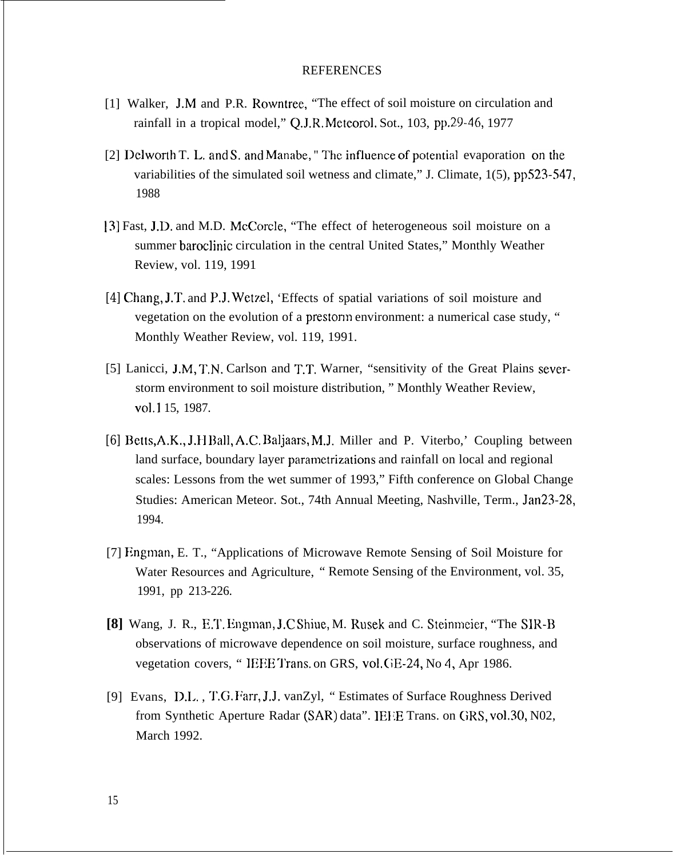#### REFERENCES

- [1] Walker, J.M and P.R. Rowntree, "The effect of soil moisture on circulation and rainfall in a tropical model," Q.J.R. Meteorol. Sot., 103, pp.29-46, 1977
- [2] Delworth T. L. and S. and Manabe,  $\mathbb{T}$  The influence of potential evaporation on the variabilities of the simulated soil wetness and climate," J. Climate, 1(5), pp523-547, 1988
- 13] Fast, J.D. and M.D. McCorcle, "The effect of heterogeneous soil moisture on a summer baroclinic circulation in the central United States," Monthly Weather Review, vol. 119, 1991
- *[4]* Chang, J.T. and P,J. Wetzel, 'Effects of spatial variations of soil moisture and vegetation on the evolution of a prestorm environment: a numerical case study, " Monthly Weather Review, vol. 119, 1991.
- [5] Lanicci, J,M, T,N. Carlson and T.T, Warner, "sensitivity of the Great Plains severstorm environment to soil moisture distribution, " Monthly Weather Review, Vol.1 15, 1987.
- *[6]* Betts,A.K,, J.}] Ball, A.C. Baljaars, M.J. Miller and P. Viterbo,' Coupling between land surface, boundary layer pararnetrizations and rainfall on local and regional scales: Lessons from the wet summer of 1993," Fifth conference on Global Change Studies: American Meteor. Sot., 74th Annual Meeting, Nashville, Term., Jan23-28, 1994.
- [7] Engman, E. T., "Applications of Microwave Remote Sensing of Soil Moisture for Water Resources and Agriculture, " Remote Sensing of the Environment, vol. 35, 1991, pp 213-226.
- **[8]** Wang, J. R., E.T. Engman, J.C Shiue, M. Rusek and C. Steinmeier, "The SIR-B" observations of microwave dependence on soil moisture, surface roughness, and vegetation covers, "IEEE Trans. on GRS, vol. GE-24, No 4, Apr 1986.
- [9] Evans, D.I.. , T.G. Farr, J,J. vanZyl, " Estimates of Surface Roughness Derived from Synthetic Aperture Radar (SAR) data". IEEE Trans. on GRS, vol.30, N02, March 1992.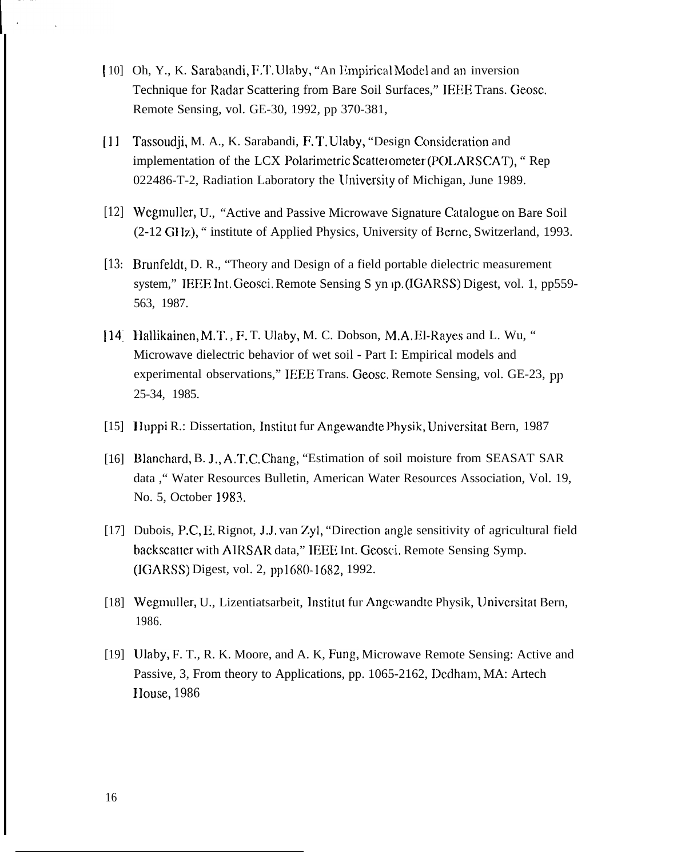- [10] Oh, Y., K. Sarabandi, F.T. Ulaby, "An Empirical Model and an inversion Technique for Radar Scattering from Bare Soil Surfaces," IEEE Trans. Geosc. Remote Sensing, vol. GE-30, 1992, pp 370-381,
- [1] Tassoudji, M. A., K. Sarabandi, F. T. Ulaby, "Design Considc.ration and implementation of the LCX Polarimetric Scatterometer (POLARSCAT), "Rep 022486-T-2, Radiation Laboratory the lJniversity of Michigan, June 1989.
- [12] Wegmuller, U., "Active and Passive Microwave Signature Catalogue on Bare Soil (2-12 GIIz), " institute of Applied Physics, University of Berne, Switzerland, 1993.
- *[13:* Brunfeldt, D. R., "Theory and Design of a field portable dielectric measurement system," IEEE Int. Geosci. Remote Sensing S yn ip. (IGARSS) Digest, vol. 1, pp559-563, 1987.
- [14] Hallikainen, M.T., F.T. Ulaby, M. C. Dobson, M.A.El-Rayes and L. Wu, " Microwave dielectric behavior of wet soil - Part I: Empirical models and experimental observations," IEEE Trans. Geosc. Remote Sensing, vol. GE-23, pp 25-34, 1985.
- [15] Huppi R.: Dissertation, Institut fur Angewandte Physik, Universitat Bern, 1987
- [16] Blanchard, B. J., A.T.C. Chang, "Estimation of soil moisture from SEASAT SAR data ," Water Resources Bulletin, American Water Resources Association, Vol. 19, No. 5, October 1983.
- [17] Dubois, P.C, E. Rignot, J.J. van Zyl, "Direction angle sensitivity of agricultural field backscatter with AIRSAR data," IEEE Int. Geosci. Remote Sensing Symp. (IGARSS) Digest, vol. 2, pp1680-1682, 1992.
- [18] Wegmuller, U., Lizentiatsarbeit, Institut fur Angewandte Physik, Universitat Bern, 1986.
- [19] Ulaby, F. T., R. K. Moore, and A. K, Fung, Microwave Remote Sensing: Active and Passive, 3, From theory to Applications, pp. 1065-2162, Dedham, MA: Artech IIouse, *1986*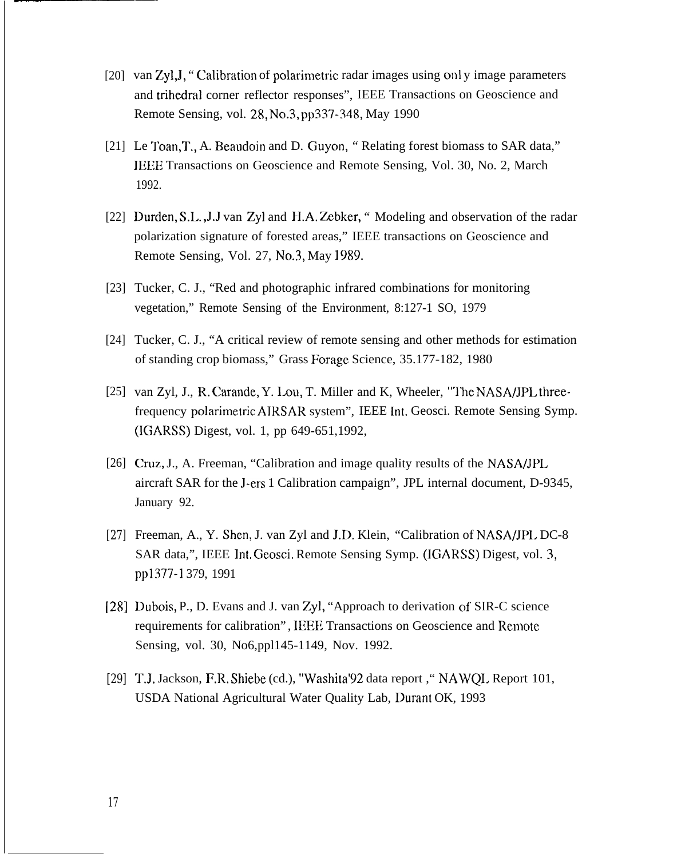- [20] van Zyl, J, "Calibration of polarimetric radar images using only image parameters and trihedral corner reflector responses", IEEE Transactions on Geoscience and Remote Sensing, vol. 28, No.3, pp337-348, May 1990
- [21] Le Toan, T., A. Beaudoin and D. Guyon, "Relating forest biomass to SAR data," IEEE Transactions on Geoscience and Remote Sensing, Vol. 30, No. 2, March 1992.
- [22] Durden, S.L., J.J van Zyl and H.A. Zebker, "Modeling and observation of the radar polarization signature of forested areas," IEEE transactions on Geoscience and Remote Sensing, Vol. 27, No.3, May 1989.
- [23] Tucker, C. J., "Red and photographic infrared combinations for monitoring vegetation," Remote Sensing of the Environment, 8:127-1 SO, 1979
- [24] Tucker, C. J., "A critical review of remote sensing and other methods for estimation of standing crop biomass," Grass Forage Science, 35.177-182, 1980
- [25] van Zyl, J., R. Carande, Y. Lou, T. Miller and K, Wheeler, "The NASA/JPL threefrequency polarimetric AIRSAR system", IEEE Int. Geosci. Remote Sensing Symp. (IGARSS) Digest, vol. 1, pp 649-651,1992,
- [26] Cruz, J., A. Freeman, "Calibration and image quality results of the NASA/JPL aircraft SAR for the J-ers 1 Calibration campaign", JPL internal document, D-9345, January 92.
- *[27]* Freeman, A., Y. Shen, J. van Zyl and J.D. Klein, "Calibration of NASA/JPL DC-8 SAR data,", IEEE lnt. Geosci. Remote Sensing Symp. (IGARSS) Digest, vol. 3, pp1377-1 379, 1991
- *[28]* Dubois, P., D. Evans and J. van Zyl, "Approach to derivation of SIR-C science requirements for calibration" , IEEE Transactions on Geoscience and Remote Sensing, vol. 30, No6,ppl145-1149, Nov. 1992.
- [29] T.J. Jackson, F.R. Shiebe (cd.), "Washita'92 data report , "NAWQL Report 101, USDA National Agricultural Water Quality Lab, Durant OK, 1993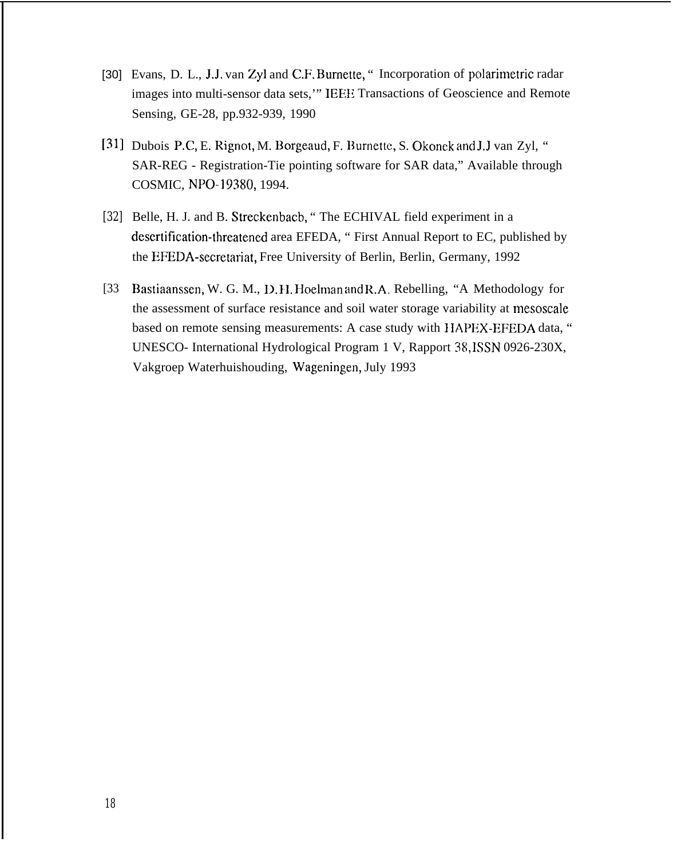- [30] Evans, D. L., J.J. van Zyl and C.F. Burnette, " Incorporation of polarimetric radar images into multi-sensor data sets,'" IEEE Transactions of Geoscience and Remote Sensing, GE-28, pp.932-939, 1990
- [31] Dubois P.C, E. Rignot, M. Borgeaud, F. Burnette, S. Okonek and J.J van Zyl, " SAR-REG - Registration-Tie pointing software for SAR data," Available through COSMIC, NPO-19380, 1994.
- *[32]* Belle, H. J. and B. Streckenbacb, " The ECHIVAL field experiment in a desertification-threatened area EFEDA, " First Annual Report to EC, published by the EFEDA-secretariat, Free University of Berlin, Berlin, Germany, 1992
- [33 Bastiaanssen, W. G. M., D. 11. Hoelman and R.A, Rebelling, "A Methodology for the assessment of surface resistance and soil water storage variability at mesoscale based on remote sensing measurements: A case study with HAPEX-EFEDA data, " UNESCO- International Hydrological Program 1 V, Rapport 38, ISSN 0926-230X, Vakgroep Waterhuishouding, Wageningen, July 1993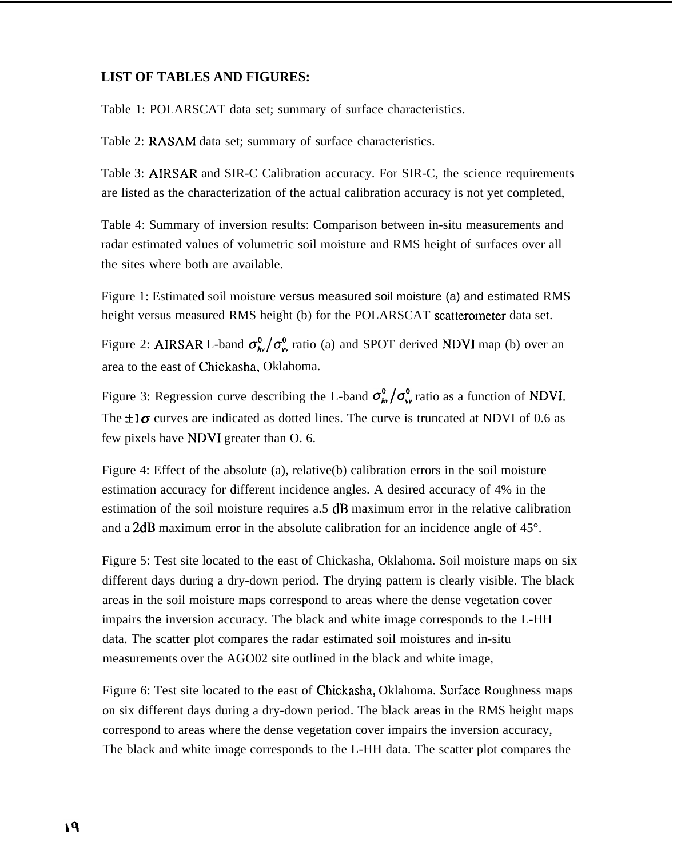# **LIST OF TABLES AND FIGURES:**

Table 1: POLARSCAT data set; summary of surface characteristics.

Table 2: RASAM data set; summary of surface characteristics.

Table 3: AIRSAR and SIR-C Calibration accuracy. For SIR-C, the science requirements are listed as the characterization of the actual calibration accuracy is not yet completed,

Table 4: Summary of inversion results: Comparison between in-situ measurements and radar estimated values of volumetric soil moisture and RMS height of surfaces over all the sites where both are available.

Figure 1: Estimated soil moisture versus measured soil moisture (a) and estimated RMS height versus measured RMS height (b) for the POLARSCAT scatterometer data set.

Figure 2: AIRSAR L-band  $\sigma_{hv}^0/\sigma_{vu}^0$  ratio (a) and SPOT derived NDVI map (b) over an area to the east of Chickasha, Oklahoma.

Figure 3: Regression curve describing the L-band  $\sigma_{\bf k}^0/\sigma_{\bf w}^0$  ratio as a function of NDVI. The  $\pm 1\sigma$  curves are indicated as dotted lines. The curve is truncated at NDVI of 0.6 as few pixels have NDVI greater than O. 6.

Figure 4: Effect of the absolute (a), relative(b) calibration errors in the soil moisture estimation accuracy for different incidence angles. A desired accuracy of 4% in the estimation of the soil moisture requires a.5 dB maximum error in the relative calibration and a 2dB maximum error in the absolute calibration for an incidence angle of 45°.

Figure 5: Test site located to the east of Chickasha, Oklahoma. Soil moisture maps on six different days during a dry-down period. The drying pattern is clearly visible. The black areas in the soil moisture maps correspond to areas where the dense vegetation cover impairs the inversion accuracy. The black and white image corresponds to the L-HH data. The scatter plot compares the radar estimated soil moistures and in-situ measurements over the AGO02 site outlined in the black and white image,

Figure 6: Test site located to the east of Chickasha, Oklahoma. Surface Roughness maps on six different days during a dry-down period. The black areas in the RMS height maps correspond to areas where the dense vegetation cover impairs the inversion accuracy, The black and white image corresponds to the L-HH data. The scatter plot compares the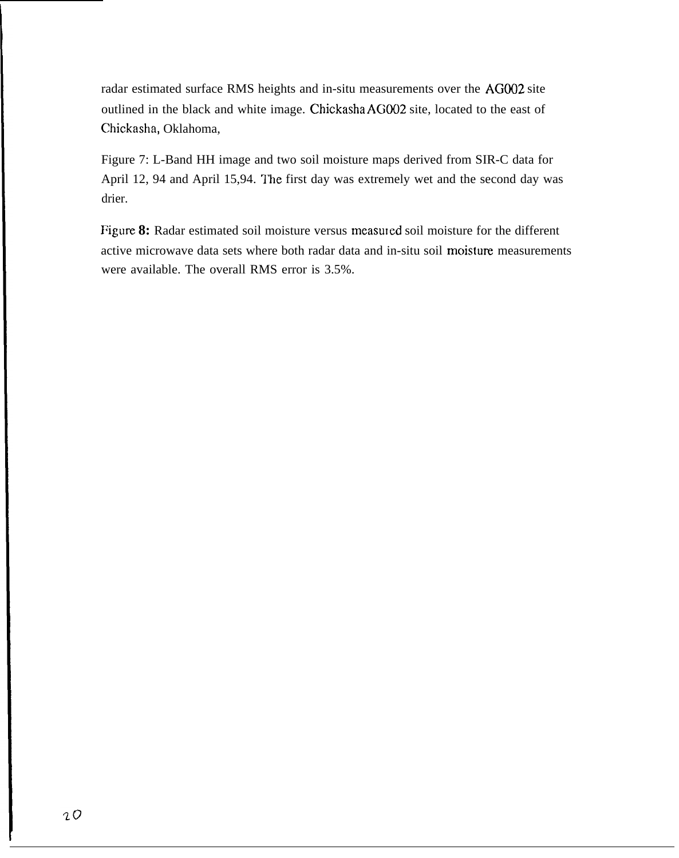radar estimated surface RMS heights and in-situ measurements over the AGO02 site outlined in the black and white image. Chickasha AGO02 site, located to the east of Chickasha, Oklahoma,

Figure 7: L-Band HH image and two soil moisture maps derived from SIR-C data for April 12, 94 and April 15,94. The first day was extremely wet and the second day was drier.

Figure 8: Radar estimated soil moisture versus measured soil moisture for the different active microwave data sets where both radar data and in-situ soil moisture measurements were available. The overall RMS error is 3.5%.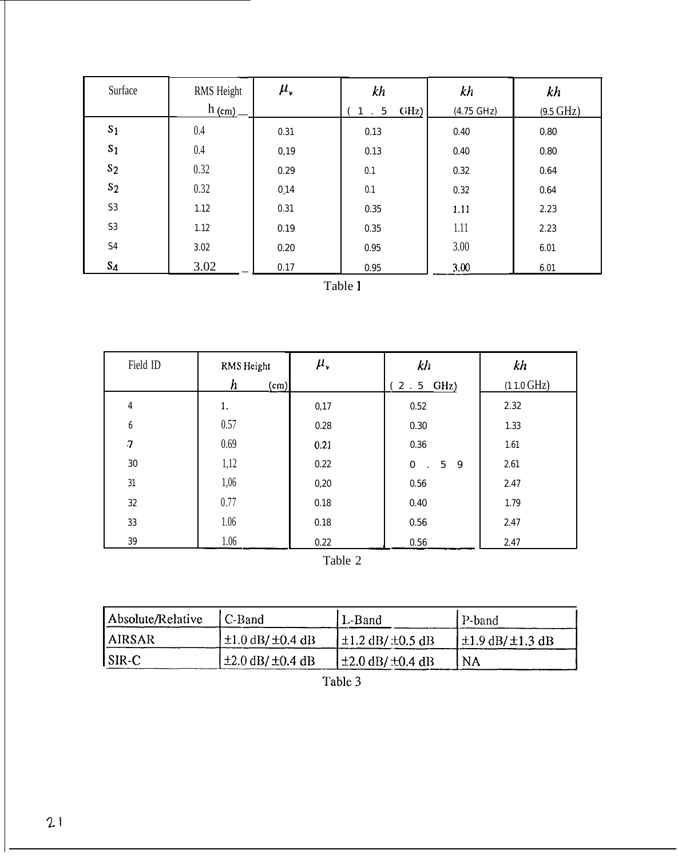| Surface        | RMS Height<br>$h_{(cm)}$ | $\mu_{\nu}$ | kh<br>GHz)<br>$\sqrt{5}$<br>$\ddot{\phantom{a}}$ | kh<br>$(4.75 \text{ GHz})$ | kh<br>$(9.5 \text{ GHz})$ |
|----------------|--------------------------|-------------|--------------------------------------------------|----------------------------|---------------------------|
| S <sub>1</sub> | 0.4                      | 0.31        | 0.13                                             | 0.40                       | 0.80                      |
| S <sub>1</sub> | 0.4                      | 0,19        | 0.13                                             | 0.40                       | 0.80                      |
| s <sub>2</sub> | 0.32                     | 0.29        | 0.1                                              | 0.32                       | 0.64                      |
| s <sub>2</sub> | 0.32                     | 0.14        | 0.1                                              | 0.32                       | 0.64                      |
| S <sub>3</sub> | 1.12                     | 0.31        | 0.35                                             | 1.11                       | 2.23                      |
| $\mathbf{S3}$  | 1.12                     | 0.19        | $0.35\,$                                         | 1.11                       | 2.23                      |
| S4             | 3.02                     | 0.20        | 0.95                                             | 3.00                       | 6.01                      |
| $S_4$          | 3.02                     | 0.17        | 0.95                                             | 3.00                       | 6.01                      |

Table 1

| Field ID                  | RMS Height               | $\mu_{\nu}$ | kh                                              | kh                   |  |  |
|---------------------------|--------------------------|-------------|-------------------------------------------------|----------------------|--|--|
|                           | $\boldsymbol{h}$<br>(cm) |             | $2.5$ GHz)                                      | $(11.0 \text{ GHz})$ |  |  |
| 4                         | 1.                       | 0,17        | 0.52                                            | 2.32                 |  |  |
| $\boldsymbol{6}$          | 0.57                     | 0.28        | $0.30\,$                                        | 1.33                 |  |  |
| $\overline{\overline{I}}$ | 0.69                     | 0.21        | $0.36\,$                                        | 1.61                 |  |  |
| 30                        | 1,12                     | 0.22        | $\bf{0}$<br>$5\phantom{.0}$<br>9<br>$\sim 10^7$ | 2.61                 |  |  |
| 31                        | 1,06                     | 0,20        | $0.56\,$                                        | 2.47                 |  |  |
| 32                        | 0.77                     | 0.18        | 0.40                                            | 1.79                 |  |  |
| 33                        | 1.06                     | 0.18        | 0.56                                            | 2.47                 |  |  |
| $39\,$                    | 1.06                     | 0.22        | $0.56\,$                                        | 2.47                 |  |  |
| Table 2                   |                          |             |                                                 |                      |  |  |

Table 2

| Absolute/Relative | C-Band                     | L-Band                      | P-band                     |  |
|-------------------|----------------------------|-----------------------------|----------------------------|--|
| <b>AIRSAR</b>     | $\pm 1.0$ dB/ $\pm 0.4$ dB | $\pm 1.2$ dB/: $\pm 0.5$ dB | $\pm 1.9$ dB/ $\pm 1.3$ dB |  |
| SIR-C             | $\pm 2.0$ dB/ $\pm 0.4$ dB | ±2.0 dB/:±0.4 dB            | <b>NA</b>                  |  |

Table 3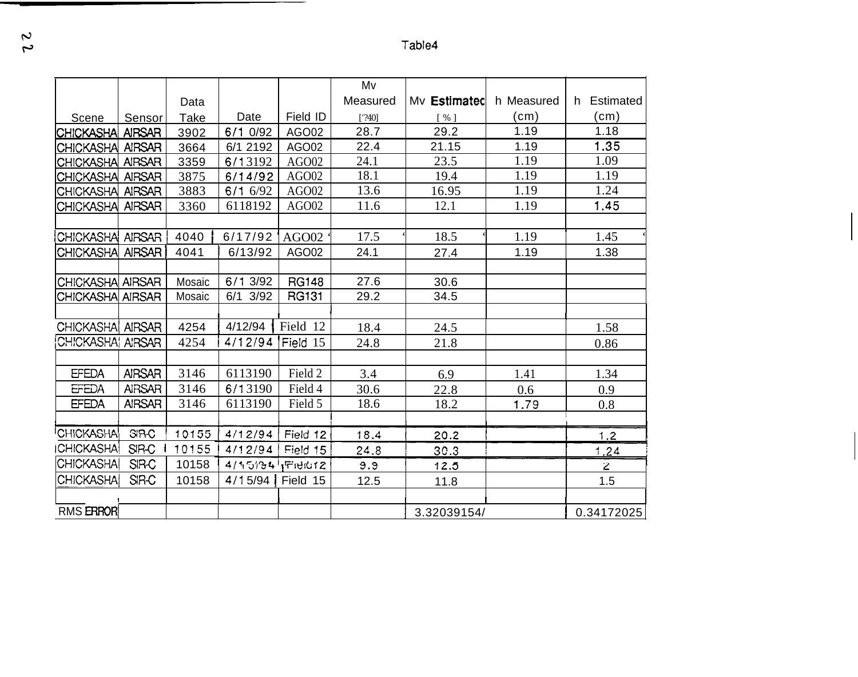Table4

|                          |               |             |             |              | Mv       |                    |            |                 |
|--------------------------|---------------|-------------|-------------|--------------|----------|--------------------|------------|-----------------|
|                          |               | Data        |             |              | Measured | My Estimated       | h Measured | Estimated<br>h. |
| Scene                    | Sensor        | <b>Take</b> | Date        | Field ID     | $[$ 240] | $\lceil \% \rceil$ | (cm)       | (cm)            |
| <b>CHICKASHA</b>         | <b>AIRSAR</b> | 3902        | 6/1 0/92    | AGO02        | 28.7     | 29.2               | 1.19       | 1.18            |
| CHICKASHA AIRSAR         |               | 3664        | 6/1 2192    | AGO02        | 22.4     | 21.15              | 1.19       | 1.35            |
| CHICKASHA AIRSAR         |               | 3359        | 6/13192     | AGO02        | 24.1     | 23.5               | 1.19       | 1.09            |
| CHICKASHA AIRSAR         |               | 3875        | 6/14/92     | AGO02        | 18.1     | 19.4               | 1.19       | 1.19            |
| <b>CHICKASHA</b>         | <b>AIRSAR</b> | 3883        | 6/16/92     | AGO02        | 13.6     | 16.95              | 1.19       | 1.24            |
| <b>CHICKASHA</b>         | <b>AIRSAR</b> | 3360        | 6118192     | AGO02        | 11.6     | 12.1               | 1.19       | 1.45            |
|                          |               |             |             |              |          |                    |            |                 |
| CHICKASHA AIRSAR         |               | 4040        | 6/17/92     | AGO02        | 17.5     | 18.5               | 1.19       | 1.45            |
| CHICKASHA AIRSAR         |               | 4041        | 6/13/92     | AGO02        | 24.1     | 27.4               | 1.19       | 1.38            |
|                          |               |             |             |              |          |                    |            |                 |
| CHICKASHA AIRSAR         |               | Mosaic      | 6/1 3/92    | <b>RG148</b> | 27.6     | 30.6               |            |                 |
| CHICKASHA AIRSAR         |               | Mosaic      | 3/92<br>6/1 | RG131        | 29.2     | 34.5               |            |                 |
|                          |               |             |             |              |          |                    |            |                 |
| CHICKASHAI AIRSAR        |               | 4254        | 4/12/94     | Field 12     | 18.4     | 24.5               |            | 1.58            |
| CHICKASHAI AIRSAR        |               | 4254        | 4/12/94     | Field 15     | 24.8     | 21.8               |            | 0.86            |
|                          |               |             |             |              |          |                    |            |                 |
| <b>EFEDA</b>             | <b>AIRSAR</b> | 3146        | 6113190     | Field 2      | 3.4      | 6.9                | 1.41       | 1.34            |
| <b>EFEDA</b>             | <b>AIRSAR</b> | 3146        | 6/13190     | Field 4      | 30.6     | 22.8               | 0.6        | 0.9             |
| <b>EFEDA</b>             | <b>AIRSAR</b> | 3146        | 6113190     | Field 5      | 18.6     | 18.2               | 1.79       | 0.8             |
|                          |               |             |             |              |          |                    |            |                 |
| <sup>I</sup> CHICKASHA   | <b>SIR-C</b>  | 10155       | 4/12/94     | Field 12     | 18.4     | 20.2               |            | 1.2             |
| <b><i>CHICKASHA!</i></b> | SIR-C         | 10155       | 4/12/94     | Field 15     | 24.8     | 30.3               |            | 1.24            |
| CHICKASHA                | <b>SIR-C</b>  | 10158       | 4/15/34     | Field12      | 9.9      | 12.5               |            | $\overline{z}$  |
| CHICKASHAI               | <b>SIR-C</b>  | 10158       | 4/15/94     | Field 15     | 12.5     | 11.8               |            | 1.5             |
|                          |               |             |             |              |          |                    |            |                 |
| <b>RMS ERROR</b>         |               |             |             |              |          | 3.32039154/        |            | 0.34172025      |

 $\overline{\mathfrak{z}}$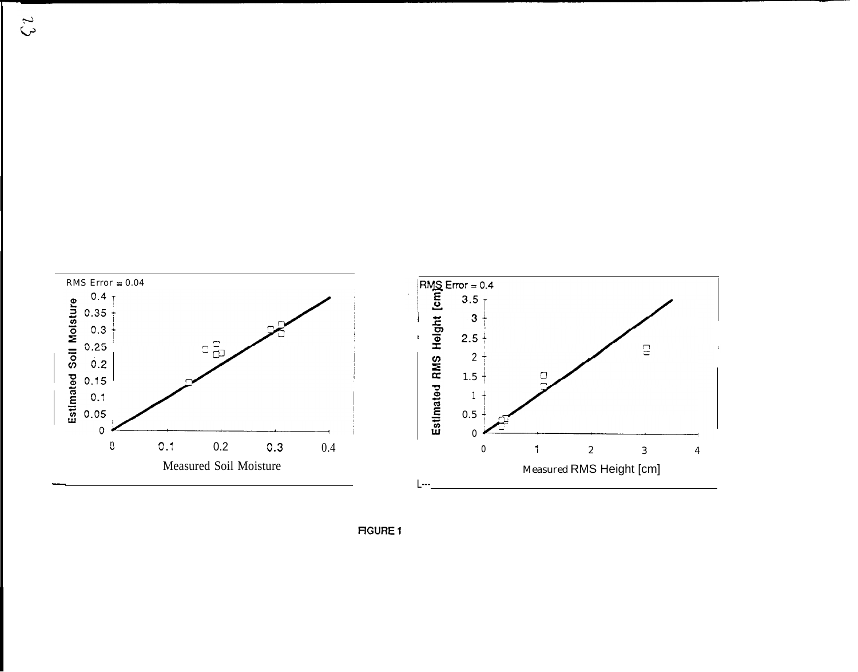

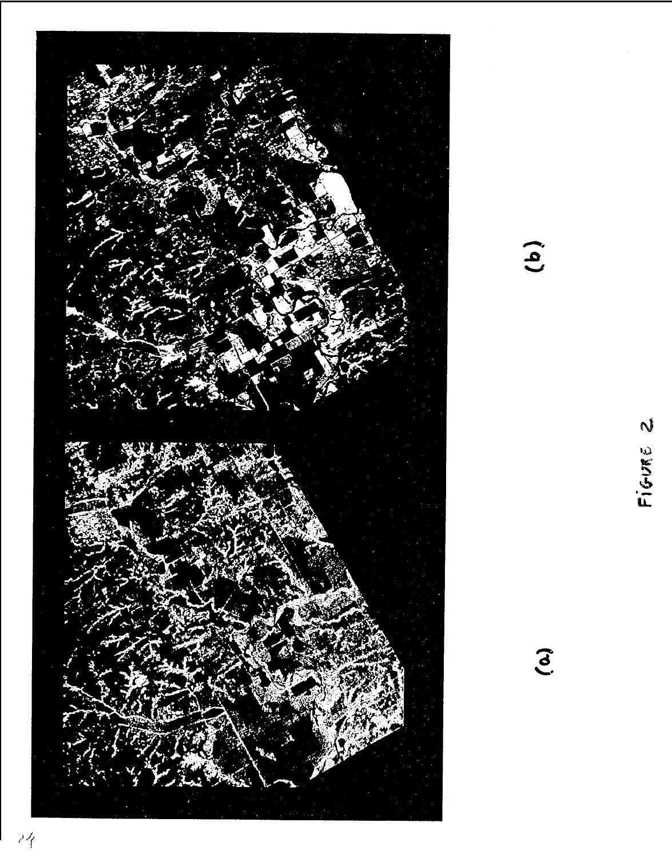

 $\ddot{a}$ 

FIGURE 2

 $\tilde{c}$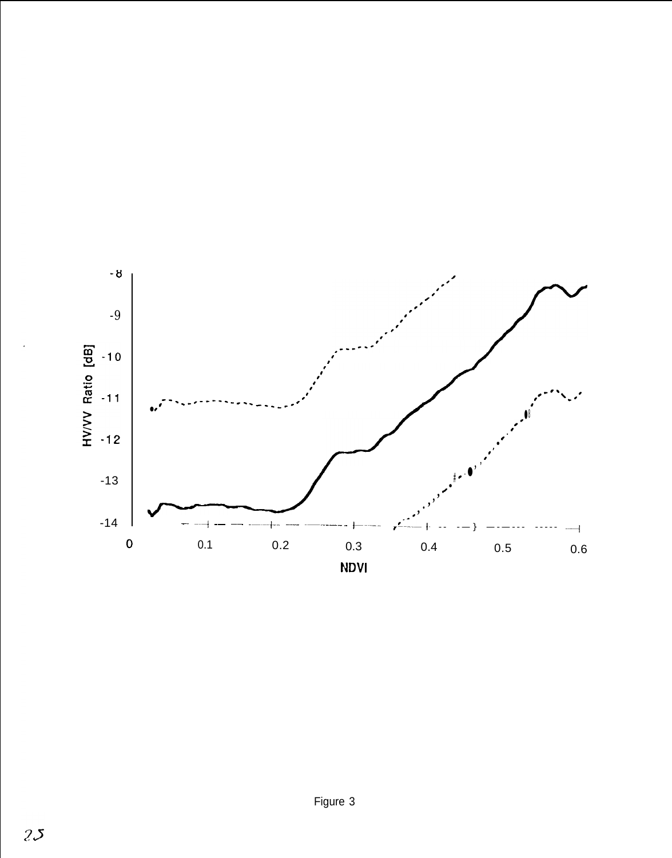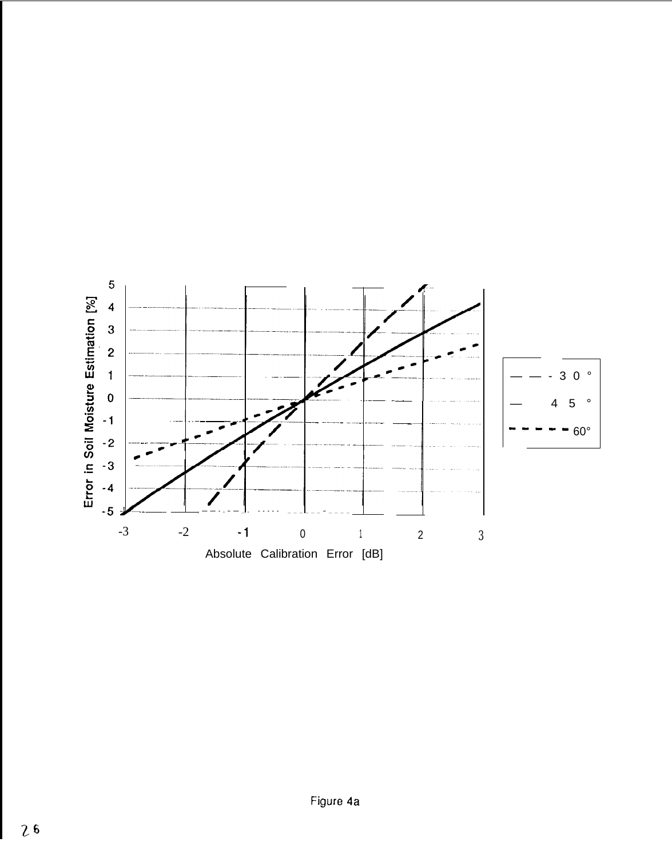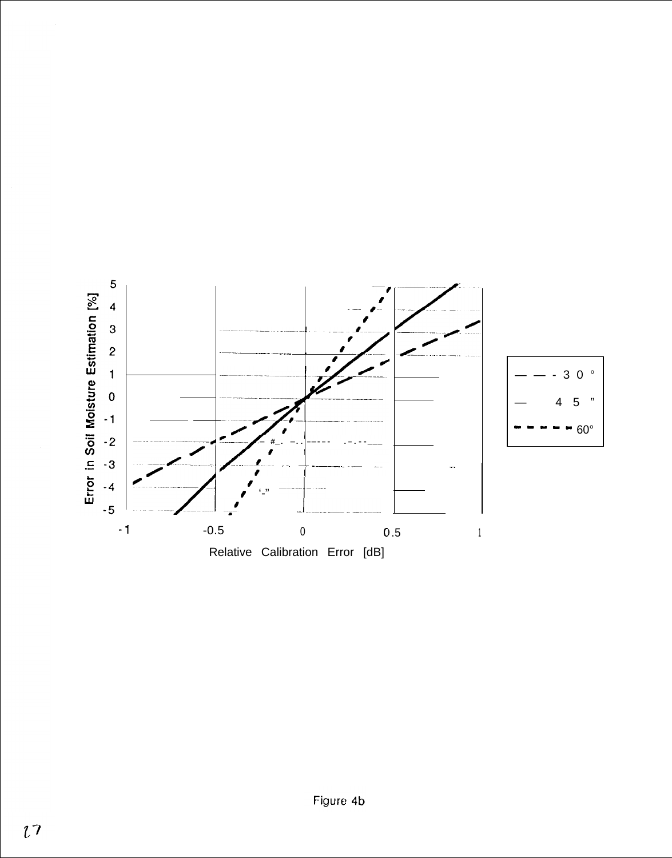

 $\bar{z}$ 

 $\sim$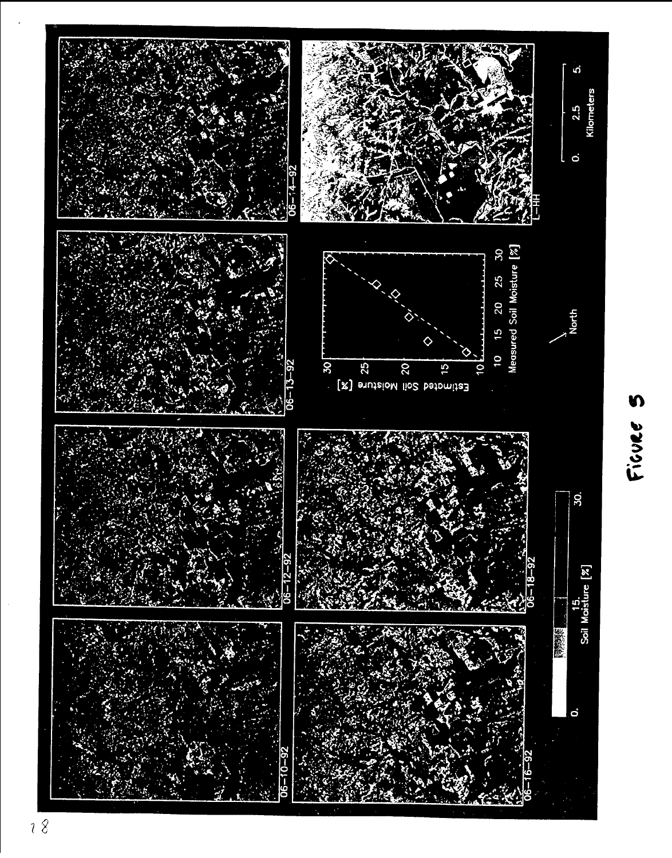

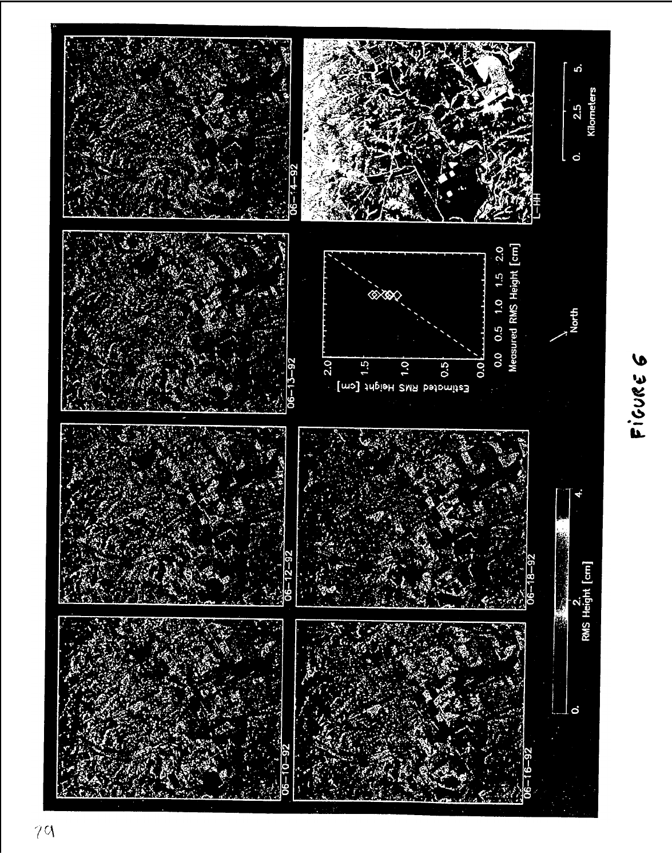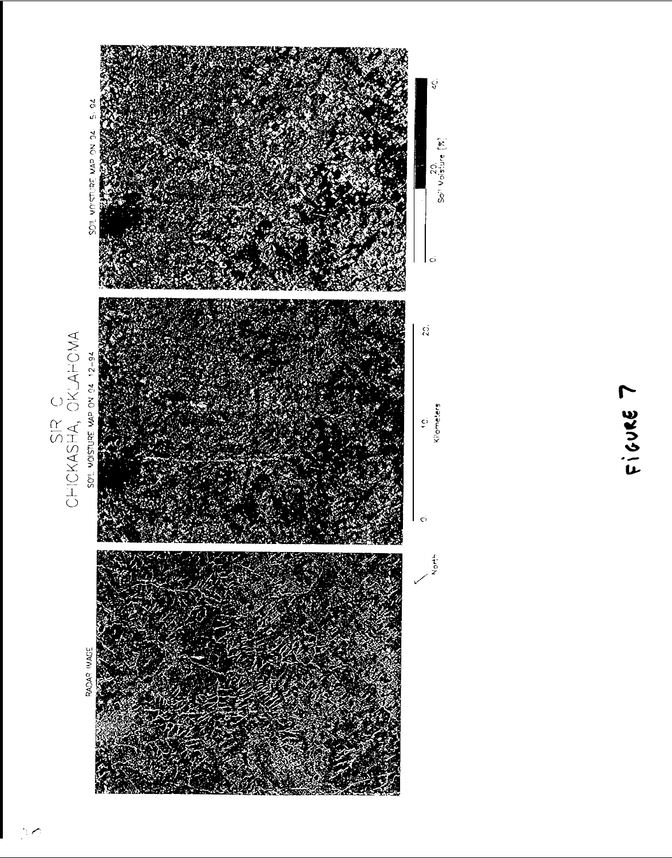

 $Ficute$  7